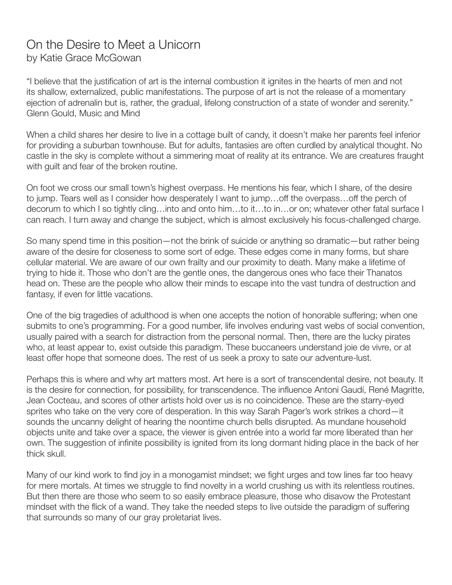## On the Desire to Meet a Unicorn by Katie Grace McGowan

"I believe that the justification of art is the internal combustion it ignites in the hearts of men and not its shallow, externalized, public manifestations. The purpose of art is not the release of a momentary ejection of adrenalin but is, rather, the gradual, lifelong construction of a state of wonder and serenity." Glenn Gould, Music and Mind

When a child shares her desire to live in a cottage built of candy, it doesn't make her parents feel inferior for providing a suburban townhouse. But for adults, fantasies are often curdled by analytical thought. No castle in the sky is complete without a simmering moat of reality at its entrance. We are creatures fraught with guilt and fear of the broken routine.

On foot we cross our small town's highest overpass. He mentions his fear, which I share, of the desire to jump. Tears well as I consider how desperately I want to jump…off the overpass…off the perch of decorum to which I so tightly cling…into and onto him…to it…to in…or on; whatever other fatal surface I can reach. I turn away and change the subject, which is almost exclusively his focus-challenged charge.

So many spend time in this position—not the brink of suicide or anything so dramatic—but rather being aware of the desire for closeness to some sort of edge. These edges come in many forms, but share cellular material. We are aware of our own frailty and our proximity to death. Many make a lifetime of trying to hide it. Those who don't are the gentle ones, the dangerous ones who face their Thanatos head on. These are the people who allow their minds to escape into the vast tundra of destruction and fantasy, if even for little vacations.

One of the big tragedies of adulthood is when one accepts the notion of honorable suffering; when one submits to one's programming. For a good number, life involves enduring vast webs of social convention, usually paired with a search for distraction from the personal normal. Then, there are the lucky pirates who, at least appear to, exist outside this paradigm. These buccaneers understand joie de vivre, or at least offer hope that someone does. The rest of us seek a proxy to sate our adventure-lust.

Perhaps this is where and why art matters most. Art here is a sort of transcendental desire, not beauty. It is the desire for connection, for possibility, for transcendence. The influence Antoni Gaudí, René Magritte, Jean Cocteau, and scores of other artists hold over us is no coincidence. These are the starry-eyed sprites who take on the very core of desperation. In this way Sarah Pager's work strikes a chord—it sounds the uncanny delight of hearing the noontime church bells disrupted. As mundane household objects unite and take over a space, the viewer is given entrée into a world far more liberated than her own. The suggestion of infinite possibility is ignited from its long dormant hiding place in the back of her thick skull.

Many of our kind work to find joy in a monogamist mindset; we fight urges and tow lines far too heavy for mere mortals. At times we struggle to find novelty in a world crushing us with its relentless routines. But then there are those who seem to so easily embrace pleasure, those who disavow the Protestant mindset with the flick of a wand. They take the needed steps to live outside the paradigm of suffering that surrounds so many of our gray proletariat lives.